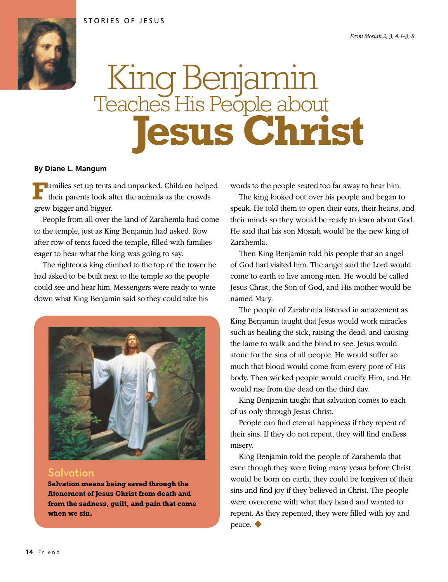

## King Benjamin Teaches His People about  **Jesus Christ**

## **By Diane L. Mangum**

**Families set up tents and unpacked. Children helped** their parents look after the animals as the crowds grew bigger and bigger.

People from all over the land of Zarahemla had come to the temple, just as King Benjamin had asked. Row after row of tents faced the temple, filled with families eager to hear what the king was going to say.

The righteous king climbed to the top of the tower he had asked to be built next to the temple so the people could see and hear him. Messengers were ready to write down what King Benjamin said so they could take his



## Salvation

**Salvation means being saved through the Atonement of Jesus Christ from death and from the sadness, guilt, and pain that come when we sin.**

words to the people seated too far away to hear him.

The king looked out over his people and began to speak. He told them to open their ears, their hearts, and their minds so they would be ready to learn about God. He said that his son Mosiah would be the new king of Zarahemla.

Then King Benjamin told his people that an angel of God had visited him. The angel said the Lord would come to earth to live among men. He would be called Jesus Christ, the Son of God, and His mother would be named Mary.

The people of Zarahemla listened in amazement as King Benjamin taught that Jesus would work miracles such as healing the sick, raising the dead, and causing the lame to walk and the blind to see. Jesus would atone for the sins of all people. He would suffer so much that blood would come from every pore of His body. Then wicked people would crucify Him, and He would rise from the dead on the third day.

King Benjamin taught that salvation comes to each of us only through Jesus Christ.

People can find eternal happiness if they repent of their sins. If they do not repent, they will find endless misery.

King Benjamin told the people of Zarahemla that even though they were living many years before Christ would be born on earth, they could be forgiven of their sins and find joy if they believed in Christ. The people were overcome with what they heard and wanted to repent. As they repented, they were filled with joy and peace. ◆